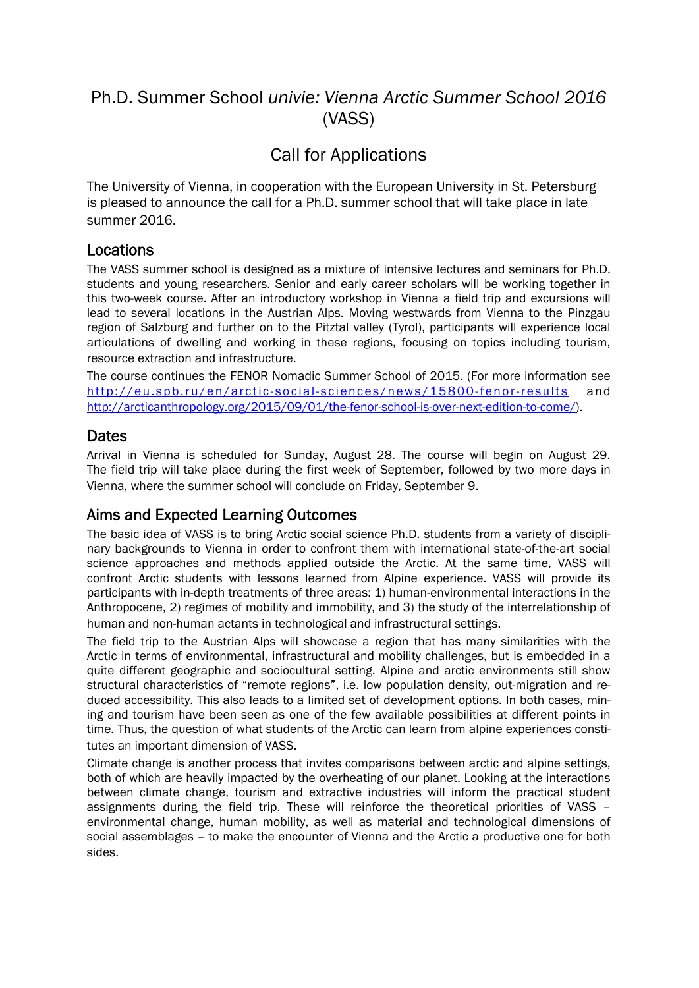# Ph.D. Summer School *univie: Vienna Arctic Summer School 2016*  (VASS)

# Call for Applications

The University of Vienna, in cooperation with the European University in St. Petersburg is pleased to announce the call for a Ph.D. summer school that will take place in late summer 2016.

#### Locations

The VASS summer school is designed as a mixture of intensive lectures and seminars for Ph.D. students and young researchers. Senior and early career scholars will be working together in this two-week course. After an introductory workshop in Vienna a field trip and excursions will lead to several locations in the Austrian Alps. Moving westwards from Vienna to the Pinzgau region of Salzburg and further on to the Pitztal valley (Tyrol), participants will experience local articulations of dwelling and working in these regions, focusing on topics including tourism, resource extraction and infrastructure.

The course continues the FENOR Nomadic Summer School of 2015. (For more information see http://eu.spb.ru/en/arctic-social-[sciences/news/15800-fenor-results](http://eu.spb.ru/en/arctic-social-sciences/news/15800-fenor-results) and [http://arcticanthropology.org/2015/09/01/the-fenor-school-is-over-next-edition-to-come/\)](http://arcticanthropology.org/2015/09/01/the-fenor-school-is-over-next-edition-to-come/).

#### **Dates**

Arrival in Vienna is scheduled for Sunday, August 28. The course will begin on August 29. The field trip will take place during the first week of September, followed by two more days in Vienna, where the summer school will conclude on Friday, September 9.

#### Aims and Expected Learning Outcomes

The basic idea of VASS is to bring Arctic social science Ph.D. students from a variety of disciplinary backgrounds to Vienna in order to confront them with international state-of-the-art social science approaches and methods applied outside the Arctic. At the same time, VASS will confront Arctic students with lessons learned from Alpine experience. VASS will provide its participants with in-depth treatments of three areas: 1) human-environmental interactions in the Anthropocene, 2) regimes of mobility and immobility, and 3) the study of the interrelationship of human and non-human actants in technological and infrastructural settings.

The field trip to the Austrian Alps will showcase a region that has many similarities with the Arctic in terms of environmental, infrastructural and mobility challenges, but is embedded in a quite different geographic and sociocultural setting. Alpine and arctic environments still show structural characteristics of "remote regions", i.e. low population density, out-migration and reduced accessibility. This also leads to a limited set of development options. In both cases, mining and tourism have been seen as one of the few available possibilities at different points in time. Thus, the question of what students of the Arctic can learn from alpine experiences constitutes an important dimension of VASS.

Climate change is another process that invites comparisons between arctic and alpine settings, both of which are heavily impacted by the overheating of our planet. Looking at the interactions between climate change, tourism and extractive industries will inform the practical student assignments during the field trip. These will reinforce the theoretical priorities of VASS – environmental change, human mobility, as well as material and technological dimensions of social assemblages – to make the encounter of Vienna and the Arctic a productive one for both sides.